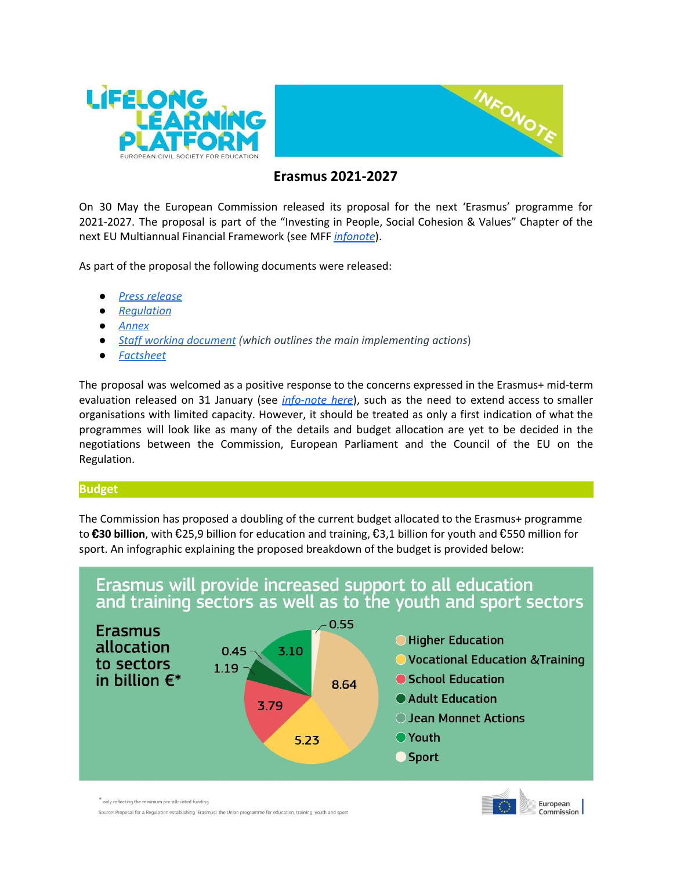



# **Erasmus 2021-2027**

On 30 May the European Commission released its proposal for the next 'Erasmus' programme for 2021-2027. The proposal is part of the "Investing in People, Social Cohesion & Values" Chapter of the next EU Multiannual Financial Framework (see MFF *[infonote](https://3.basecamp.com/3112810/buckets/811701/uploads/1106177152)*).

As part of the proposal the following documents were released:

- *● Press [release](http://europa.eu/rapid/press-release_IP-18-3948_en.htm)*
- *● [Regulation](https://ec.europa.eu/commission/sites/beta-political/files/budget-may2018-establishing-erasmus-regulation_en.pdf)*
- *● [Annex](https://ec.europa.eu/commission/sites/beta-political/files/budget-may2018-establishing-erasmus-annex_en.pdf)*
- *Staff working [document](https://ec.europa.eu/commission/sites/beta-political/files/budget-may2018-actions-erasmus-programme-swd_en.pdf) (which outlines the main implementing actions*)
- *● [Factsheet](https://ec.europa.eu/commission/sites/beta-political/files/budget-may2018-erasmusplus_en.pdf)*

The proposal was welcomed as a positive response to the concerns expressed in the Erasmus+ mid-term evaluation released on 31 January (see *[info-note](https://3.basecamp.com/3112810/buckets/811701/uploads/939009072) here*), such as the need to extend access to smaller organisations with limited capacity. However, it should be treated as only a first indication of what the programmes will look like as many of the details and budget allocation are yet to be decided in the negotiations between the Commission, European Parliament and the Council of the EU on the Regulation.

## **Budget**

The Commission has proposed a doubling of the current budget allocated to the Erasmus+ programme to €**30 billion**, with €25,9 billion for education and training, €3,1 billion for youth and €550 million for sport. An infographic explaining the proposed breakdown of the budget is provided below:



\* only reflecting the minimum pre-allocated funding

Source: Proposal for a Regulation establishing 'Erasmus': the Union programme for education, training, youth and sport

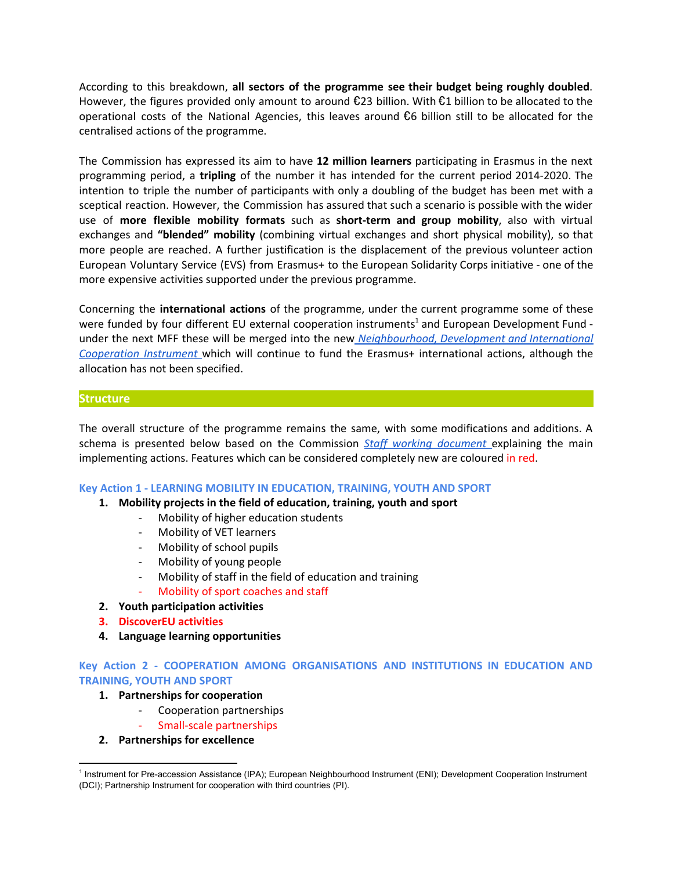According to this breakdown, **all sectors of the programme see their budget being roughly doubled**. However, the figures provided only amount to around  $\epsilon$ 23 billion. With  $\epsilon$ 1 billion to be allocated to the operational costs of the National Agencies, this leaves around  $\epsilon$ 6 billion still to be allocated for the centralised actions of the programme.

The Commission has expressed its aim to have **12 million learners** participating in Erasmus in the next programming period, a **tripling** of the number it has intended for the current period 2014-2020. The intention to triple the number of participants with only a doubling of the budget has been met with a sceptical reaction. However, the Commission has assured that such a scenario is possible with the wider use of **more flexible mobility formats** such as **short-term and group mobility**, also with virtual exchanges and **"blended" mobility** (combining virtual exchanges and short physical mobility), so that more people are reached. A further justification is the displacement of the previous volunteer action European Voluntary Service (EVS) from Erasmus+ to the European Solidarity Corps initiative - one of the more expensive activities supported under the previous programme.

Concerning the **international actions** of the programme, under the current programme some of these were funded by four different EU external cooperation instruments<sup>1</sup> and European Development Fund under the next MFF these will be merged into the new *[Neighbourhood,](http://europa.eu/rapid/press-release_IP-18-4086_en.htm) Development and International [Cooperation](http://europa.eu/rapid/press-release_IP-18-4086_en.htm) Instrument* which will continue to fund the Erasmus+ international actions, although the allocation has not been specified.

### **Structure**

The overall structure of the programme remains the same, with some modifications and additions. A schema is presented below based on the Commission *Staff working [document](https://ec.europa.eu/commission/sites/beta-political/files/budget-may2018-actions-erasmus-programme-swd_en.pdf)* explaining the main implementing actions. Features which can be considered completely new are coloured in red.

### **Key Action 1 - LEARNING MOBILITY IN EDUCATION, TRAINING, YOUTH AND SPORT**

### **1. Mobility projects in the field of education, training, youth and sport**

- Mobility of higher education students
- Mobility of VET learners
- Mobility of school pupils
- Mobility of young people
- Mobility of staff in the field of education and training
- Mobility of sport coaches and staff
- **2. Youth participation activities**
- **3. DiscoverEU activities**
- **4. Language learning opportunities**

## **Key Action 2 - COOPERATION AMONG ORGANISATIONS AND INSTITUTIONS IN EDUCATION AND TRAINING, YOUTH AND SPORT**

### **1. Partnerships for cooperation**

- Cooperation partnerships
- Small-scale partnerships

### **2. Partnerships for excellence**

<sup>&</sup>lt;sup>1</sup> Instrument for Pre-accession Assistance (IPA); European Neighbourhood Instrument (ENI); Development Cooperation Instrument (DCI); Partnership Instrument for cooperation with third countries (PI).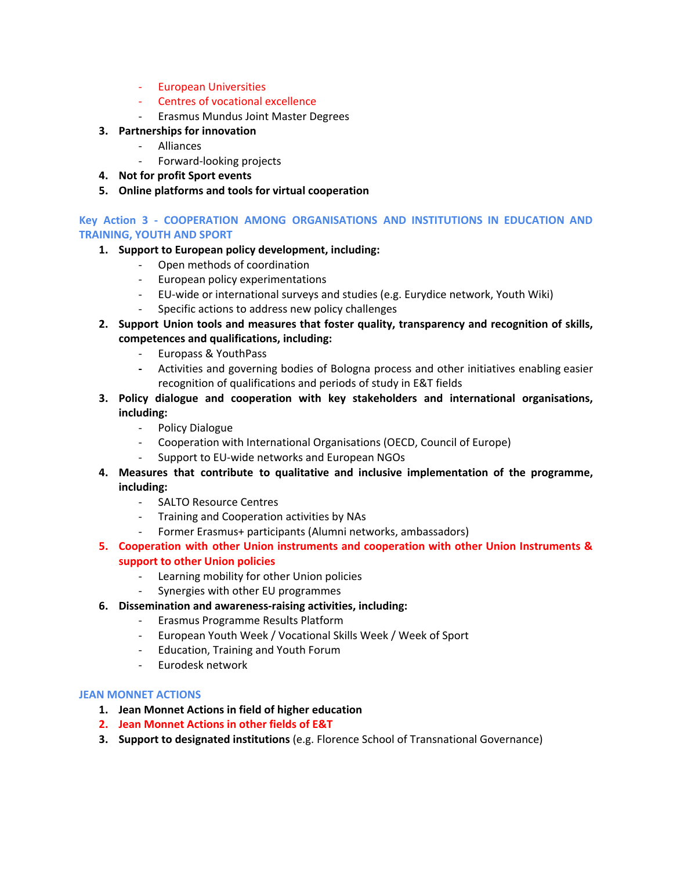- European Universities
- Centres of vocational excellence
- Erasmus Mundus Joint Master Degrees
- **3. Partnerships for innovation**
	- Alliances
	- Forward-looking projects
- **4. Not for profit Sport events**
- **5. Online platforms and tools for virtual cooperation**

**Key Action 3 - COOPERATION AMONG ORGANISATIONS AND INSTITUTIONS IN EDUCATION AND TRAINING, YOUTH AND SPORT**

## **1. Support to European policy development, including:**

- Open methods of coordination
- European policy experimentations
- EU-wide or international surveys and studies (e.g. Eurydice network, Youth Wiki)
- Specific actions to address new policy challenges
- **2. Support Union tools and measures that foster quality, transparency and recognition of skills, competences and qualifications, including:**
	- Europass & YouthPass
	- **-** Activities and governing bodies of Bologna process and other initiatives enabling easier recognition of qualifications and periods of study in E&T fields
- **3. Policy dialogue and cooperation with key stakeholders and international organisations, including:**
	- Policy Dialogue
	- Cooperation with International Organisations (OECD, Council of Europe)
	- Support to EU-wide networks and European NGOs
- **4. Measures that contribute to qualitative and inclusive implementation of the programme, including:**
	- SALTO Resource Centres
	- Training and Cooperation activities by NAs
	- Former Erasmus+ participants (Alumni networks, ambassadors)
- **5. Cooperation with other Union instruments and cooperation with other Union Instruments & support to other Union policies**
	- Learning mobility for other Union policies
	- Synergies with other EU programmes
- **6. Dissemination and awareness-raising activities, including:**
	- Erasmus Programme Results Platform
	- European Youth Week / Vocational Skills Week / Week of Sport
	- Education, Training and Youth Forum
	- Eurodesk network

## **JEAN MONNET ACTIONS**

- **1. Jean Monnet Actions in field of higher education**
- **2. Jean Monnet Actions in other fields of E&T**
- **3. Support to designated institutions** (e.g. Florence School of Transnational Governance)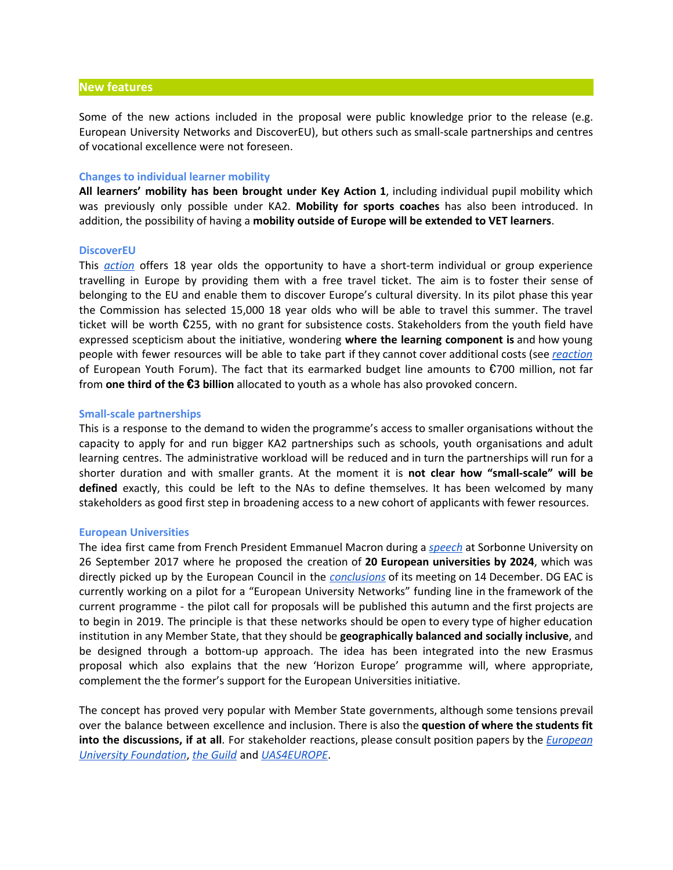#### **New features**

Some of the new actions included in the proposal were public knowledge prior to the release (e.g. European University Networks and DiscoverEU), but others such as small-scale partnerships and centres of vocational excellence were not foreseen.

#### **Changes to individual learner mobility**

**All learners' mobility has been brought under Key Action 1**, including individual pupil mobility which was previously only possible under KA2. **Mobility for sports coaches** has also been introduced. In addition, the possibility of having a **mobility outside of Europe will be extended to VET learners**.

#### **DiscoverEU**

This *[action](http://europa.eu/rapid/press-release_IP-18-4088_en.htm)* offers 18 year olds the opportunity to have a short-term individual or group experience travelling in Europe by providing them with a free travel ticket. The aim is to foster their sense of belonging to the EU and enable them to discover Europe's cultural diversity. In its pilot phase this year the Commission has selected 15,000 18 year olds who will be able to travel this summer. The travel ticket will be worth €255, with no grant for subsistence costs. Stakeholders from the youth field have expressed scepticism about the initiative, wondering **where the learning component is** and how young people with fewer resources will be able to take part if they cannot cover additional costs (see *[reaction](https://www.youthforum.org/eu-budget-raises-questions-inclusion-accessibility-youth)* of European Youth Forum). The fact that its earmarked budget line amounts to €700 million, not far from **one third of the** €**3 billion** allocated to youth as a whole has also provoked concern.

#### **Small-scale partnerships**

This is a response to the demand to widen the programme's access to smaller organisations without the capacity to apply for and run bigger KA2 partnerships such as schools, youth organisations and adult learning centres. The administrative workload will be reduced and in turn the partnerships will run for a shorter duration and with smaller grants. At the moment it is **not clear how "small-scale" will be defined** exactly, this could be left to the NAs to define themselves. It has been welcomed by many stakeholders as good first step in broadening access to a new cohort of applicants with fewer resources.

#### **European Universities**

The idea first came from French President Emmanuel Macron during a *[speech](http://international.blogs.ouest-france.fr/archive/2017/09/29/macron-sorbonne-verbatim-europe-18583.html)* at Sorbonne University on 26 September 2017 where he proposed the creation of **20 European universities by 2024**, which was directly picked up by the European Council in the *[conclusions](http://www.consilium.europa.eu/media/32204/14-final-conclusions-rev1-en.pdf)* of its meeting on 14 December. DG EAC is currently working on a pilot for a "European University Networks" funding line in the framework of the current programme - the pilot call for proposals will be published this autumn and the first projects are to begin in 2019. The principle is that these networks should be open to every type of higher education institution in any Member State, that they should be **geographically balanced and socially inclusive**, and be designed through a bottom-up approach. The idea has been integrated into the new Erasmus proposal which also explains that the new 'Horizon Europe' programme will, where appropriate, complement the the former's support for the European Universities initiative.

The concept has proved very popular with Member State governments, although some tensions prevail over the balance between excellence and inclusion. There is also the **question of where the students fit into the discussions, if at all**. For stakeholder reactions, please consult position papers by the *[European](http://uni-foundation.eu/system/files/position_paper_on_european_universities.pdf) University [Foundation](http://uni-foundation.eu/system/files/position_paper_on_european_universities.pdf)*, *the [Guild](https://www.the-guild.eu/publications/guild-position-paper-eurouniinitiative.pdf)* and *[UAS4EUROPE](http://uas4europe.eu/files/UAS4EUROPE%20statment%20European%20Universities%20Networks_1.pdf)*.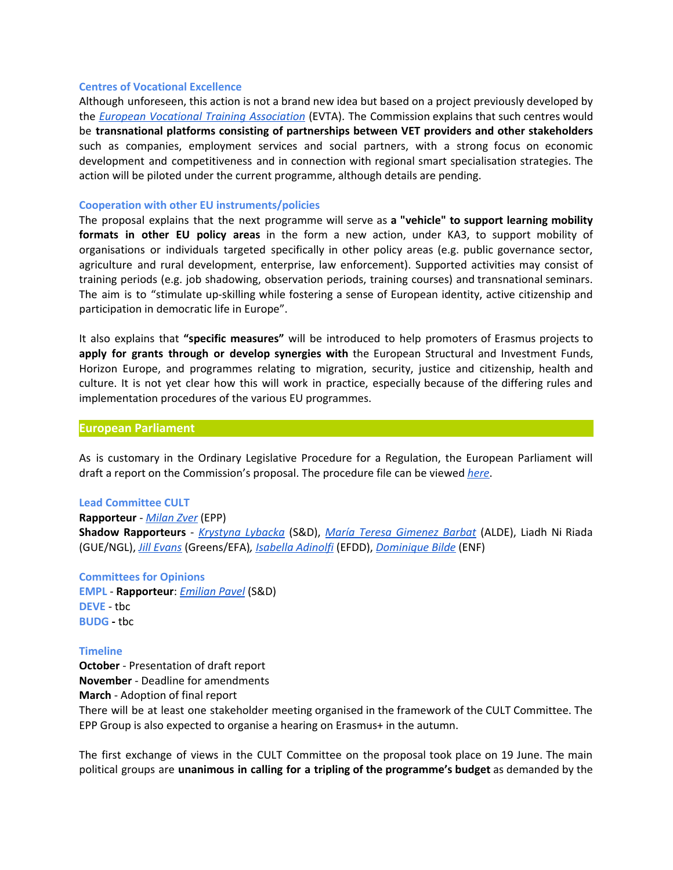#### **Centres of Vocational Excellence**

Although unforeseen, this action is not a brand new idea but based on a project previously developed by the *European Vocational Training [Association](https://www.evta.eu/)* (EVTA). The Commission explains that such centres would be **transnational platforms consisting of partnerships between VET providers and other stakeholders** such as companies, employment services and social partners, with a strong focus on economic development and competitiveness and in connection with regional smart specialisation strategies. The action will be piloted under the current programme, although details are pending.

#### **Cooperation with other EU instruments/policies**

The proposal explains that the next programme will serve as **a "vehicle" to support learning mobility formats in other EU policy areas** in the form a new action, under KA3, to support mobility of organisations or individuals targeted specifically in other policy areas (e.g. public governance sector, agriculture and rural development, enterprise, law enforcement). Supported activities may consist of training periods (e.g. job shadowing, observation periods, training courses) and transnational seminars. The aim is to "stimulate up-skilling while fostering a sense of European identity, active citizenship and participation in democratic life in Europe".

It also explains that **"specific measures"** will be introduced to help promoters of Erasmus projects to **apply for grants through or develop synergies with** the European Structural and Investment Funds, Horizon Europe, and programmes relating to migration, security, justice and citizenship, health and culture. It is not yet clear how this will work in practice, especially because of the differing rules and implementation procedures of the various EU programmes.

### **European Parliament**

As is customary in the Ordinary Legislative Procedure for a Regulation, the European Parliament will draft a report on the Commission's proposal. The procedure file can be viewed *[here](http://www.europarl.europa.eu/oeil/popups/ficheprocedure.do?reference=2018/0191(COD)&l=en#tab-0)*.

### **Lead Committee CULT**

## **Rapporteur** - *[Milan](http://www.europarl.europa.eu/meps/en/96933.html) Zver* (EPP) **Shadow Rapporteurs** - *[Krystyna](http://www.europarl.europa.eu/meps/en/124883/KRYSTYNA_LYBACKA_home.html) Lybacka* (S&D), *María Teresa [Gimenez](http://www.europarl.europa.eu/meps/en/135491/MARIA+TERESA_GIMENEZ+BARBAT_home.html) Barbat* (ALDE), Liadh Ni Riada (GUE/NGL), *Jill [Evans](http://www.europarl.europa.eu/meps/en/4550/JILL_EVANS_home.html)* (Greens/EFA)*, [Isabella](http://www.europarl.europa.eu/meps/en/124831/ISABELLA_ADINOLFI_home.html) Adinolfi* (EFDD), *[Dominique](http://www.europarl.europa.eu/meps/en/124771.html) Bilde* (ENF)

**Committees for Opinions EMPL** - **Rapporteur**: *[Emilian](http://www.europarl.europa.eu/meps/en/129256/EMILIAN_PAVEL_home.html) Pavel* (S&D) **DEVE** - tbc

#### **Timeline**

**BUDG -** tbc

**October** - Presentation of draft report **November** - Deadline for amendments **March** - Adoption of final report There will be at least one stakeholder meeting organised in the framework of the CULT Committee. The EPP Group is also expected to organise a hearing on Erasmus+ in the autumn.

The first exchange of views in the CULT Committee on the proposal took place on 19 June. The main political groups are **unanimous in calling for a tripling of the programme's budget** as demanded by the